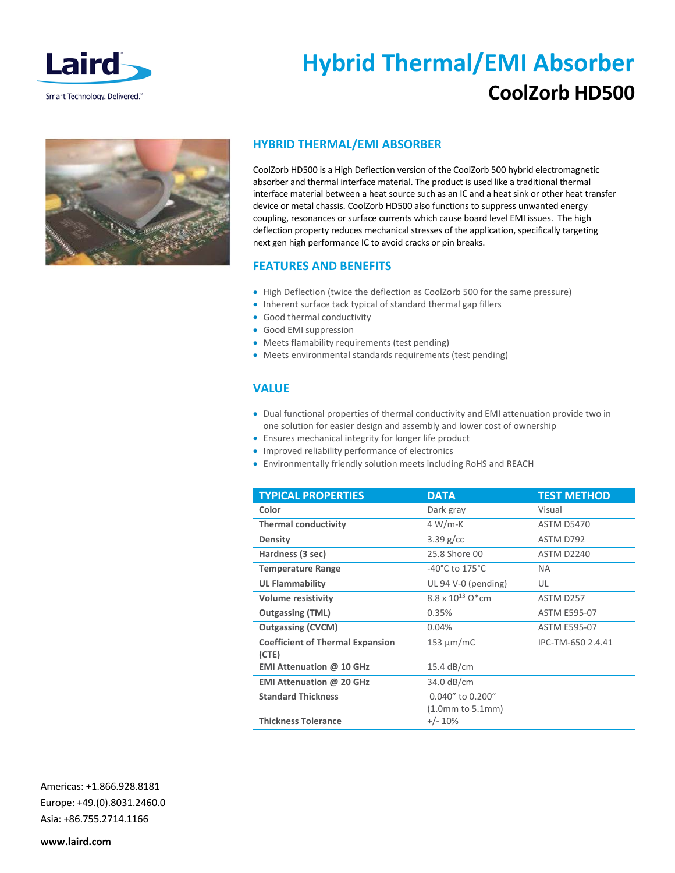

**Hybrid Thermal/EMI Absorber CoolZorb HD500**



## **HYBRID THERMAL/EMI ABSORBER**

CoolZorb HD500 is a High Deflection version of the CoolZorb 500 hybrid electromagnetic absorber and thermal interface material. The product is used like a traditional thermal interface material between a heat source such as an IC and a heat sink or other heat transfer device or metal chassis. CoolZorb HD500 also functions to suppress unwanted energy coupling, resonances or surface currents which cause board level EMI issues. The high deflection property reduces mechanical stresses of the application, specifically targeting next gen high performance IC to avoid cracks or pin breaks.

# **FEATURES AND BENEFITS**

- High Deflection (twice the deflection as CoolZorb 500 for the same pressure)
- Inherent surface tack typical of standard thermal gap fillers
- Good thermal conductivity
- Good EMI suppression
- Meets flamability requirements (test pending)
- Meets environmental standards requirements (test pending)

# **VALUE**

- Dual functional properties of thermal conductivity and EMI attenuation provide two in one solution for easier design and assembly and lower cost of ownership
- Ensures mechanical integrity for longer life product
- Improved reliability performance of electronics
- Environmentally friendly solution meets including RoHS and REACH

| <b>TYPICAL PROPERTIES</b>                        | <b>DATA</b>                            | <b>TEST METHOD</b>  |
|--------------------------------------------------|----------------------------------------|---------------------|
| Color                                            | Dark gray                              | Visual              |
| <b>Thermal conductivity</b>                      | 4 W/m-K                                | ASTM D5470          |
| <b>Density</b>                                   | $3.39$ g/cc                            | ASTM D792           |
| Hardness (3 sec)                                 | 25.8 Shore 00                          | <b>ASTM D2240</b>   |
| <b>Temperature Range</b>                         | -40 $^{\circ}$ C to 175 $^{\circ}$ C   | NA.                 |
| <b>UL Flammability</b>                           | UL 94 V-0 (pending)                    | UL                  |
| <b>Volume resistivity</b>                        | $8.8 \times 10^{13}$ O <sup>*</sup> cm | ASTM D257           |
| <b>Outgassing (TML)</b>                          | 0.35%                                  | <b>ASTM E595-07</b> |
| <b>Outgassing (CVCM)</b>                         | 0.04%                                  | <b>ASTM E595-07</b> |
| <b>Coefficient of Thermal Expansion</b><br>(CTE) | $153 \mu m/mC$                         | IPC-TM-650 2.4.41   |
| EMI Attenuation @ 10 GHz                         | $15.4$ dB/cm                           |                     |
| EMI Attenuation @ 20 GHz                         | 34.0 dB/cm                             |                     |
| <b>Standard Thickness</b>                        | 0.040" to 0.200"                       |                     |
| <b>Thickness Tolerance</b>                       | $(1.0mm to 5.1mm)$                     |                     |
|                                                  | $+/- 10%$                              |                     |

Americas: +1.866.928.8181 Europe: +49.(0).8031.2460.0 Asia: +86.755.2714.1166